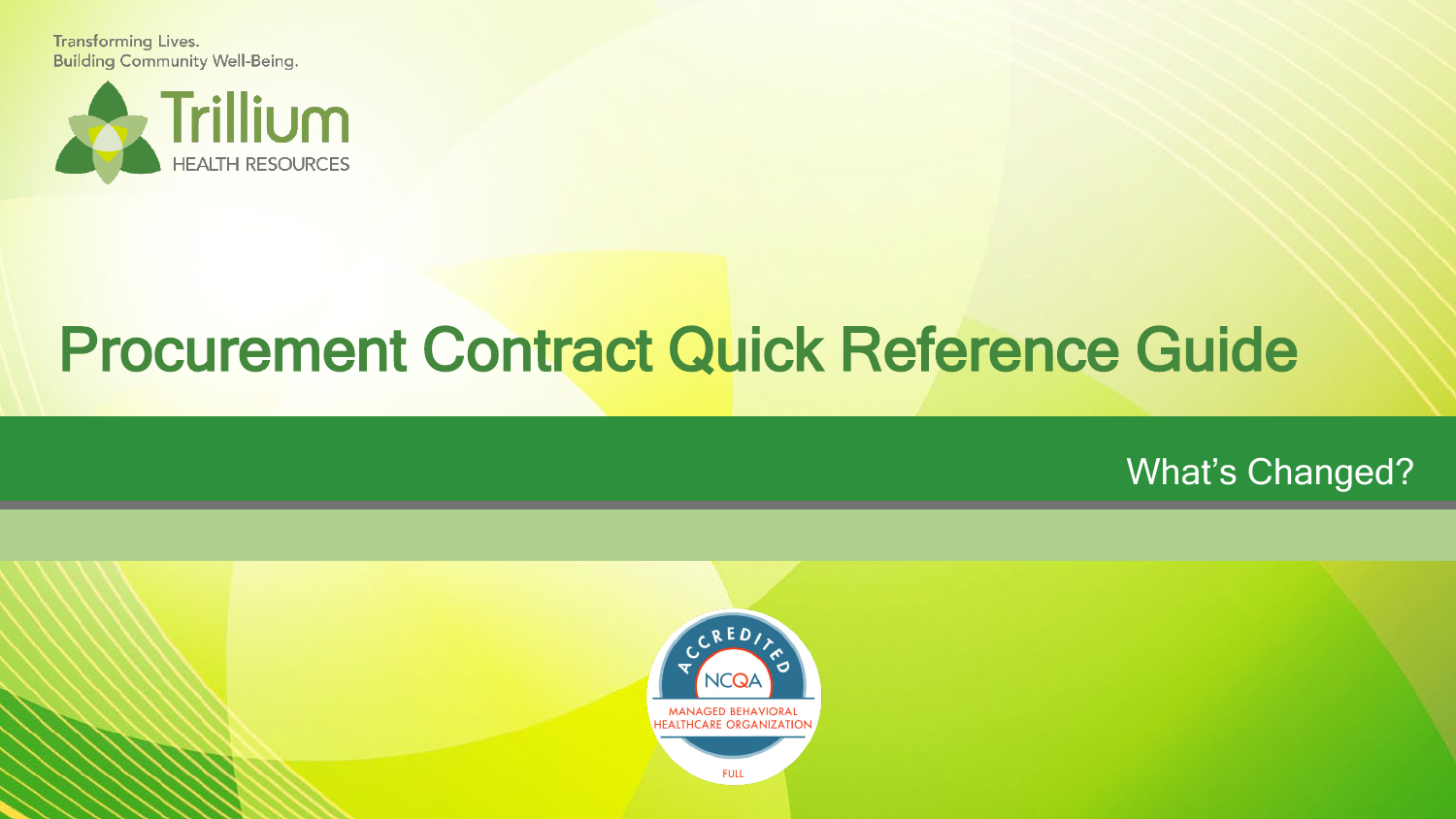**Transforming Lives. Building Community Well-Being.** 



# Procurement Contract Quick Reference Guide

## What's Changed?

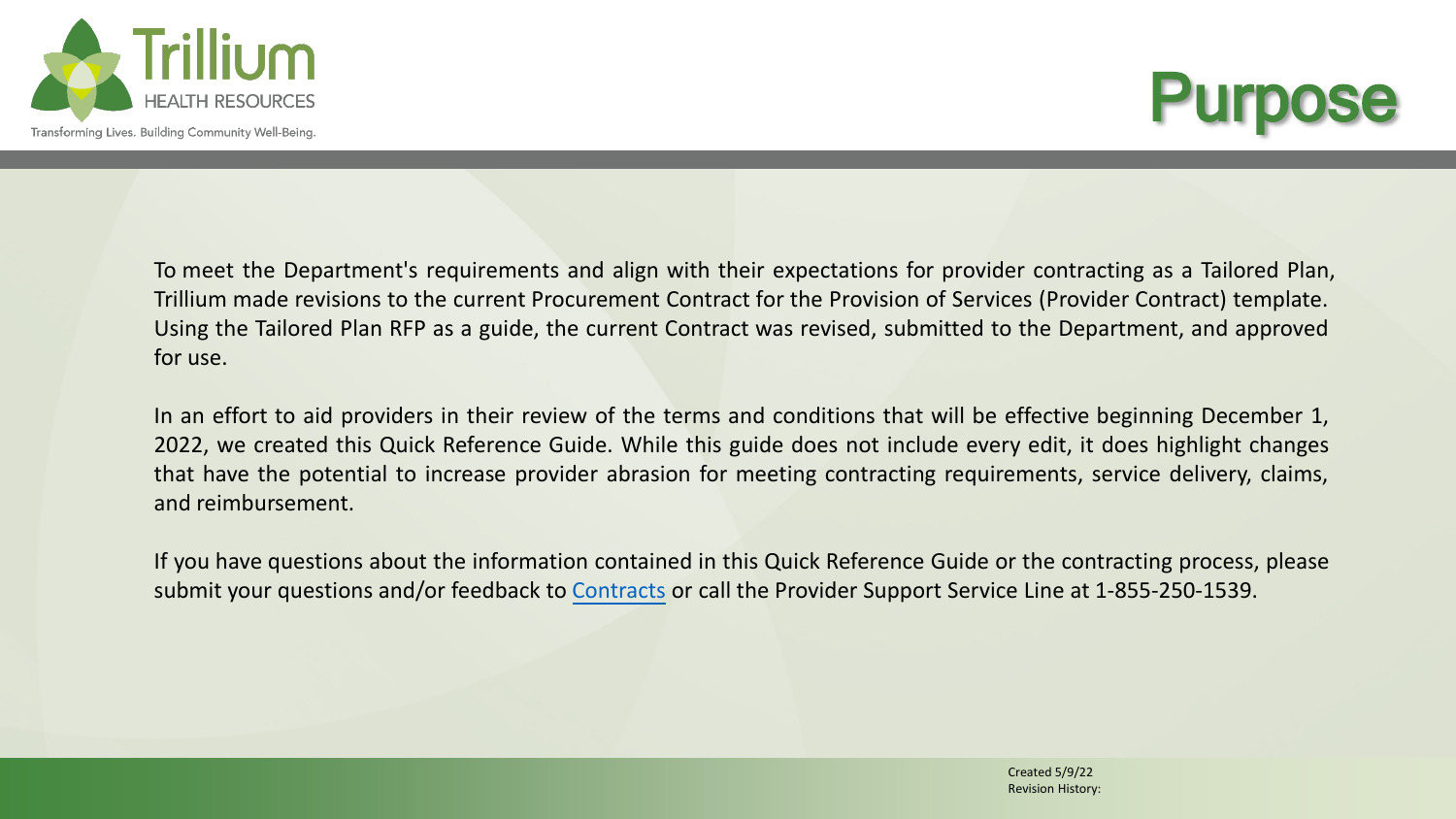



To meet the Department's requirements and align with their expectations for provider contracting as a Tailored Plan, Trillium made revisions to the current Procurement Contract for the Provision of Services (Provider Contract) template. Using the Tailored Plan RFP as a guide, the current Contract was revised, submitted to the Department, and approved for use.

In an effort to aid providers in their review of the terms and conditions that will be effective beginning December 1, 2022, we created this Quick Reference Guide. While this guide does not include every edit, it does highlight changes that have the potential to increase provider abrasion for meeting contracting requirements, service delivery, claims, and reimbursement.

If you have questions about the information contained in this Quick Reference Guide or the contracting process, please submit your questions and/or feedback to [Contracts](https://app.smartsheet.com/b/form/83acaf3163a0498ca2081388cfd2c073) or call the Provider Support Service Line at 1-855-250-1539.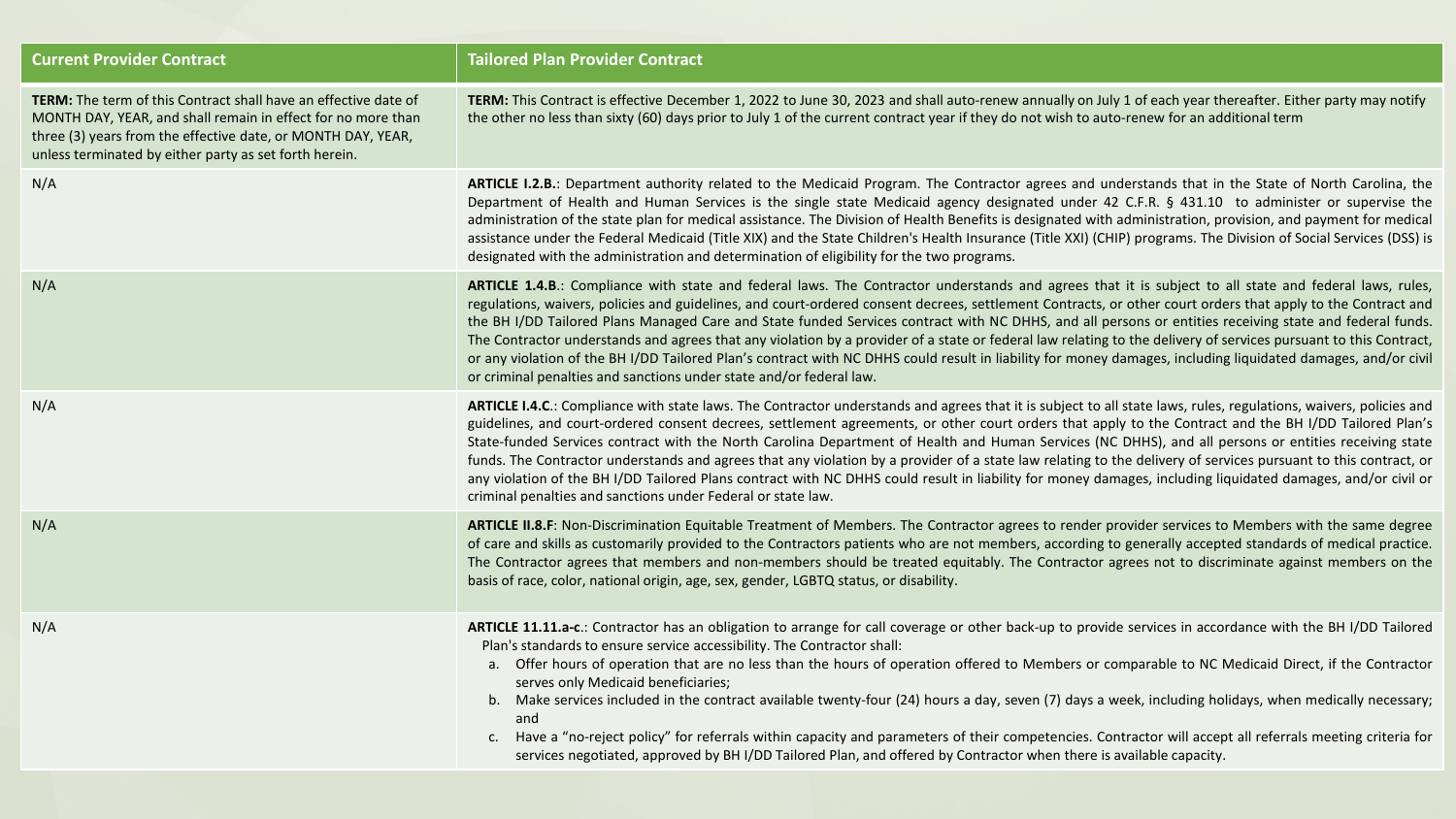| <b>Current Provider Contract</b>                                                                                                                                                                                                                                 | <b>Tailored Plan Provider Contract</b>                                                                                                                                                                                                                                                                                                                                                                                                                                                                                                                                                                                                                                                                                                                                                                                                                                                        |
|------------------------------------------------------------------------------------------------------------------------------------------------------------------------------------------------------------------------------------------------------------------|-----------------------------------------------------------------------------------------------------------------------------------------------------------------------------------------------------------------------------------------------------------------------------------------------------------------------------------------------------------------------------------------------------------------------------------------------------------------------------------------------------------------------------------------------------------------------------------------------------------------------------------------------------------------------------------------------------------------------------------------------------------------------------------------------------------------------------------------------------------------------------------------------|
| <b>TERM:</b> The term of this Contract shall have an effective date of<br>MONTH DAY, YEAR, and shall remain in effect for no more than<br>three (3) years from the effective date, or MONTH DAY, YEAR,<br>unless terminated by either party as set forth herein. | TERM: This Contract is effective December 1, 2022 to June 30, 2023 and shall auto-renew annually on July 1 of each year thereafter. Either party may notify<br>the other no less than sixty (60) days prior to July 1 of the current contract year if they do not wish to auto-renew for an additional term                                                                                                                                                                                                                                                                                                                                                                                                                                                                                                                                                                                   |
| N/A                                                                                                                                                                                                                                                              | ARTICLE I.2.B.: Department authority related to the Medicaid Program. The Contractor agrees and understands that in the State of North Carolina, the<br>Department of Health and Human Services is the single state Medicaid agency designated under 42 C.F.R. § 431.10 to administer or supervise the<br>administration of the state plan for medical assistance. The Division of Health Benefits is designated with administration, provision, and payment for medical<br>assistance under the Federal Medicaid (Title XIX) and the State Children's Health Insurance (Title XXI) (CHIP) programs. The Division of Social Services (DSS) is<br>designated with the administration and determination of eligibility for the two programs.                                                                                                                                                    |
| N/A                                                                                                                                                                                                                                                              | ARTICLE 1.4.B.: Compliance with state and federal laws. The Contractor understands and agrees that it is subject to all state and federal laws, rules,<br>regulations, waivers, policies and guidelines, and court-ordered consent decrees, settlement Contracts, or other court orders that apply to the Contract and<br>the BH I/DD Tailored Plans Managed Care and State funded Services contract with NC DHHS, and all persons or entities receiving state and federal funds.<br>The Contractor understands and agrees that any violation by a provider of a state or federal law relating to the delivery of services pursuant to this Contract,<br>or any violation of the BH I/DD Tailored Plan's contract with NC DHHS could result in liability for money damages, including liquidated damages, and/or civil<br>or criminal penalties and sanctions under state and/or federal law. |
| N/A                                                                                                                                                                                                                                                              | ARTICLE I.4.C.: Compliance with state laws. The Contractor understands and agrees that it is subject to all state laws, rules, regulations, waivers, policies and<br>guidelines, and court-ordered consent decrees, settlement agreements, or other court orders that apply to the Contract and the BH I/DD Tailored Plan's<br>State-funded Services contract with the North Carolina Department of Health and Human Services (NC DHHS), and all persons or entities receiving state<br>funds. The Contractor understands and agrees that any violation by a provider of a state law relating to the delivery of services pursuant to this contract, or<br>any violation of the BH I/DD Tailored Plans contract with NC DHHS could result in liability for money damages, including liquidated damages, and/or civil or<br>criminal penalties and sanctions under Federal or state law.       |
| N/A                                                                                                                                                                                                                                                              | ARTICLE II.8.F: Non-Discrimination Equitable Treatment of Members. The Contractor agrees to render provider services to Members with the same degree<br>of care and skills as customarily provided to the Contractors patients who are not members, according to generally accepted standards of medical practice.<br>The Contractor agrees that members and non-members should be treated equitably. The Contractor agrees not to discriminate against members on the<br>basis of race, color, national origin, age, sex, gender, LGBTQ status, or disability.                                                                                                                                                                                                                                                                                                                               |
| N/A                                                                                                                                                                                                                                                              | ARTICLE 11.11.a-c.: Contractor has an obligation to arrange for call coverage or other back-up to provide services in accordance with the BH I/DD Tailored<br>Plan's standards to ensure service accessibility. The Contractor shall:<br>a. Offer hours of operation that are no less than the hours of operation offered to Members or comparable to NC Medicaid Direct, if the Contractor<br>serves only Medicaid beneficiaries;<br>b. Make services included in the contract available twenty-four (24) hours a day, seven (7) days a week, including holidays, when medically necessary;<br>and<br>c. Have a "no-reject policy" for referrals within capacity and parameters of their competencies. Contractor will accept all referrals meeting criteria for<br>services negotiated, approved by BH I/DD Tailored Plan, and offered by Contractor when there is available capacity.      |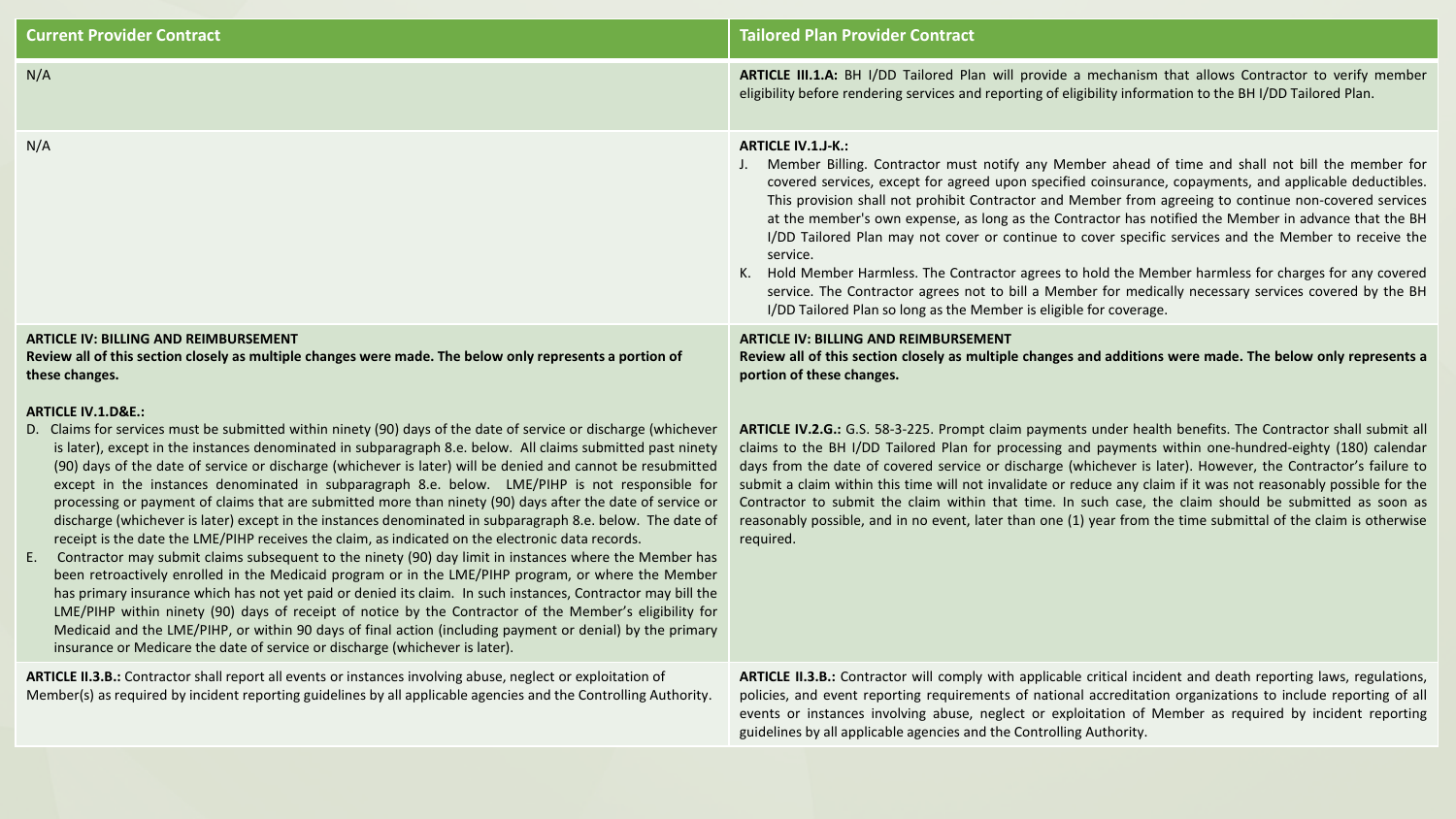| <b>Current Provider Contract</b>                                                                                                                                                                                                                                                                                                                                                                                                                                                                                                                                                                                                                                                                                                                                                                                                                                                                                                                                                                                                                                                                                                                                                                                                                                                                                                                                                                                                                                  | <b>Tailored Plan Provider Contract</b>                                                                                                                                                                                                                                                                                                                                                                                                                                                                                                                                                                                                                                                                                                                                                                                                                                         |
|-------------------------------------------------------------------------------------------------------------------------------------------------------------------------------------------------------------------------------------------------------------------------------------------------------------------------------------------------------------------------------------------------------------------------------------------------------------------------------------------------------------------------------------------------------------------------------------------------------------------------------------------------------------------------------------------------------------------------------------------------------------------------------------------------------------------------------------------------------------------------------------------------------------------------------------------------------------------------------------------------------------------------------------------------------------------------------------------------------------------------------------------------------------------------------------------------------------------------------------------------------------------------------------------------------------------------------------------------------------------------------------------------------------------------------------------------------------------|--------------------------------------------------------------------------------------------------------------------------------------------------------------------------------------------------------------------------------------------------------------------------------------------------------------------------------------------------------------------------------------------------------------------------------------------------------------------------------------------------------------------------------------------------------------------------------------------------------------------------------------------------------------------------------------------------------------------------------------------------------------------------------------------------------------------------------------------------------------------------------|
| N/A                                                                                                                                                                                                                                                                                                                                                                                                                                                                                                                                                                                                                                                                                                                                                                                                                                                                                                                                                                                                                                                                                                                                                                                                                                                                                                                                                                                                                                                               | ARTICLE III.1.A: BH I/DD Tailored Plan will provide a mechanism that allows Contractor to verify member<br>eligibility before rendering services and reporting of eligibility information to the BH I/DD Tailored Plan.                                                                                                                                                                                                                                                                                                                                                                                                                                                                                                                                                                                                                                                        |
| N/A                                                                                                                                                                                                                                                                                                                                                                                                                                                                                                                                                                                                                                                                                                                                                                                                                                                                                                                                                                                                                                                                                                                                                                                                                                                                                                                                                                                                                                                               | <b>ARTICLE IV.1.J-K.:</b><br>J. Member Billing. Contractor must notify any Member ahead of time and shall not bill the member for<br>covered services, except for agreed upon specified coinsurance, copayments, and applicable deductibles.<br>This provision shall not prohibit Contractor and Member from agreeing to continue non-covered services<br>at the member's own expense, as long as the Contractor has notified the Member in advance that the BH<br>I/DD Tailored Plan may not cover or continue to cover specific services and the Member to receive the<br>service.<br>K. Hold Member Harmless. The Contractor agrees to hold the Member harmless for charges for any covered<br>service. The Contractor agrees not to bill a Member for medically necessary services covered by the BH<br>I/DD Tailored Plan so long as the Member is eligible for coverage. |
| <b>ARTICLE IV: BILLING AND REIMBURSEMENT</b><br>Review all of this section closely as multiple changes were made. The below only represents a portion of<br>these changes.                                                                                                                                                                                                                                                                                                                                                                                                                                                                                                                                                                                                                                                                                                                                                                                                                                                                                                                                                                                                                                                                                                                                                                                                                                                                                        | <b>ARTICLE IV: BILLING AND REIMBURSEMENT</b><br>Review all of this section closely as multiple changes and additions were made. The below only represents a<br>portion of these changes.                                                                                                                                                                                                                                                                                                                                                                                                                                                                                                                                                                                                                                                                                       |
| <b>ARTICLE IV.1.D&amp;E.:</b><br>D. Claims for services must be submitted within ninety (90) days of the date of service or discharge (whichever<br>is later), except in the instances denominated in subparagraph 8.e. below. All claims submitted past ninety<br>(90) days of the date of service or discharge (whichever is later) will be denied and cannot be resubmitted<br>except in the instances denominated in subparagraph 8.e. below. LME/PIHP is not responsible for<br>processing or payment of claims that are submitted more than ninety (90) days after the date of service or<br>discharge (whichever is later) except in the instances denominated in subparagraph 8.e. below. The date of<br>receipt is the date the LME/PIHP receives the claim, as indicated on the electronic data records.<br>Contractor may submit claims subsequent to the ninety (90) day limit in instances where the Member has<br>E.<br>been retroactively enrolled in the Medicaid program or in the LME/PIHP program, or where the Member<br>has primary insurance which has not yet paid or denied its claim. In such instances, Contractor may bill the<br>LME/PIHP within ninety (90) days of receipt of notice by the Contractor of the Member's eligibility for<br>Medicaid and the LME/PIHP, or within 90 days of final action (including payment or denial) by the primary<br>insurance or Medicare the date of service or discharge (whichever is later). | ARTICLE IV.2.G.: G.S. 58-3-225. Prompt claim payments under health benefits. The Contractor shall submit all<br>claims to the BH I/DD Tailored Plan for processing and payments within one-hundred-eighty (180) calendar<br>days from the date of covered service or discharge (whichever is later). However, the Contractor's failure to<br>submit a claim within this time will not invalidate or reduce any claim if it was not reasonably possible for the<br>Contractor to submit the claim within that time. In such case, the claim should be submitted as soon as<br>reasonably possible, and in no event, later than one (1) year from the time submittal of the claim is otherwise<br>required.                                                                                                                                                                      |
| ARTICLE II.3.B.: Contractor shall report all events or instances involving abuse, neglect or exploitation of<br>Member(s) as required by incident reporting guidelines by all applicable agencies and the Controlling Authority.                                                                                                                                                                                                                                                                                                                                                                                                                                                                                                                                                                                                                                                                                                                                                                                                                                                                                                                                                                                                                                                                                                                                                                                                                                  | ARTICLE II.3.B.: Contractor will comply with applicable critical incident and death reporting laws, regulations,<br>policies, and event reporting requirements of national accreditation organizations to include reporting of all<br>events or instances involving abuse, neglect or exploitation of Member as required by incident reporting<br>guidelines by all applicable agencies and the Controlling Authority.                                                                                                                                                                                                                                                                                                                                                                                                                                                         |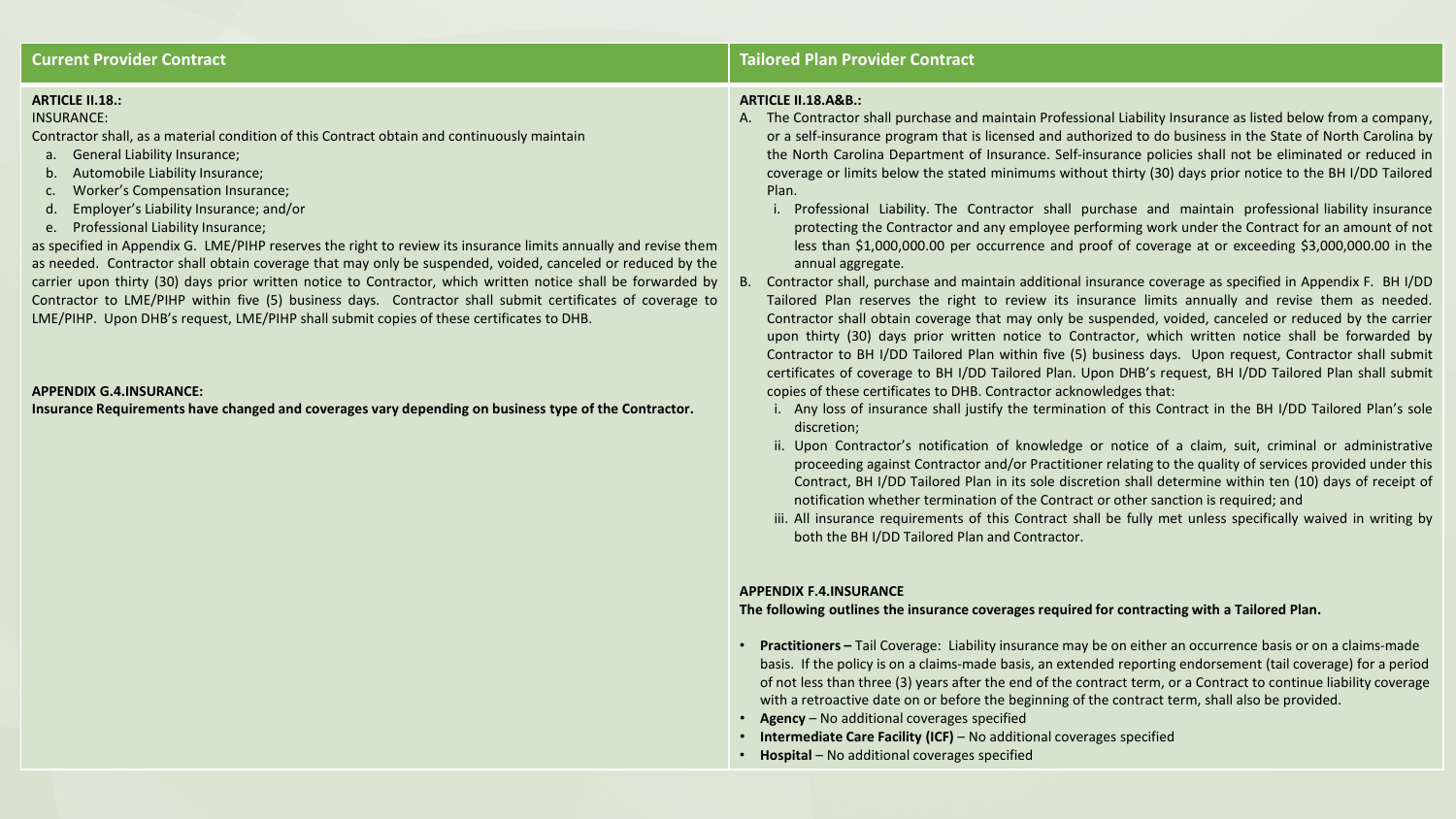#### **ARTICLE II.18.:**

#### INSURANCE:

Contractor shall, as a material condition of this Contract obtain and continuously maintain

- a. General Liability Insurance;
- b. Automobile Liability Insurance;
- c. Worker's Compensation Insurance;
- d. Employer's Liability Insurance; and/or
- e. Professional Liability Insurance;

as specified in Appendix G. LME/PIHP reserves the right to review its insurance limits annually and revise them as needed. Contractor shall obtain coverage that may only be suspended, voided, canceled or reduced by the carrier upon thirty (30) days prior written notice to Contractor, which written notice shall be forwarded by Contractor to LME/PIHP within five (5) business days. Contractor shall submit certificates of coverage to LME/PIHP. Upon DHB's request, LME/PIHP shall submit copies of these certificates to DHB.

#### **APPENDIX G.4.INSURANCE:**

**Insurance Requirements have changed and coverages vary depending on business type of the Contractor.**

#### **Current Provider Contract Tailored Plan Provider Contract**

#### **ARTICLE II.18.A&B.:**

- A. The Contractor shall purchase and maintain Professional Liability Insurance as listed below from a company, or a self-insurance program that is licensed and authorized to do business in the State of North Carolina by the North Carolina Department of Insurance. Self-insurance policies shall not be eliminated or reduced in coverage or limits below the stated minimums without thirty (30) days prior notice to the BH I/DD Tailored Plan.
	- i. Professional Liability. The Contractor shall purchase and maintain professional liability insurance protecting the Contractor and any employee performing work under the Contract for an amount of not less than \$1,000,000.00 per occurrence and proof of coverage at or exceeding \$3,000,000.00 in the annual aggregate.
- B. Contractor shall, purchase and maintain additional insurance coverage as specified in Appendix F. BH I/DD Tailored Plan reserves the right to review its insurance limits annually and revise them as needed. Contractor shall obtain coverage that may only be suspended, voided, canceled or reduced by the carrier upon thirty (30) days prior written notice to Contractor, which written notice shall be forwarded by Contractor to BH I/DD Tailored Plan within five (5) business days. Upon request, Contractor shall submit certificates of coverage to BH I/DD Tailored Plan. Upon DHB's request, BH I/DD Tailored Plan shall submit copies of these certificates to DHB. Contractor acknowledges that:
	- i. Any loss of insurance shall justify the termination of this Contract in the BH I/DD Tailored Plan's sole discretion;
	- ii. Upon Contractor's notification of knowledge or notice of a claim, suit, criminal or administrative proceeding against Contractor and/or Practitioner relating to the quality of services provided under this Contract, BH I/DD Tailored Plan in its sole discretion shall determine within ten (10) days of receipt of notification whether termination of the Contract or other sanction is required; and
	- iii. All insurance requirements of this Contract shall be fully met unless specifically waived in writing by both the BH I/DD Tailored Plan and Contractor.

#### **APPENDIX F.4.INSURANCE**

#### **The following outlines the insurance coverages required for contracting with a Tailored Plan.**

- **Practitioners –** Tail Coverage: Liability insurance may be on either an occurrence basis or on a claims-made basis. If the policy is on a claims-made basis, an extended reporting endorsement (tail coverage) for a period of not less than three (3) years after the end of the contract term, or a Contract to continue liability coverage with a retroactive date on or before the beginning of the contract term, shall also be provided.
- **Agency** No additional coverages specified
- **Intermediate Care Facility (ICF)**  No additional coverages specified
- **Hospital** No additional coverages specified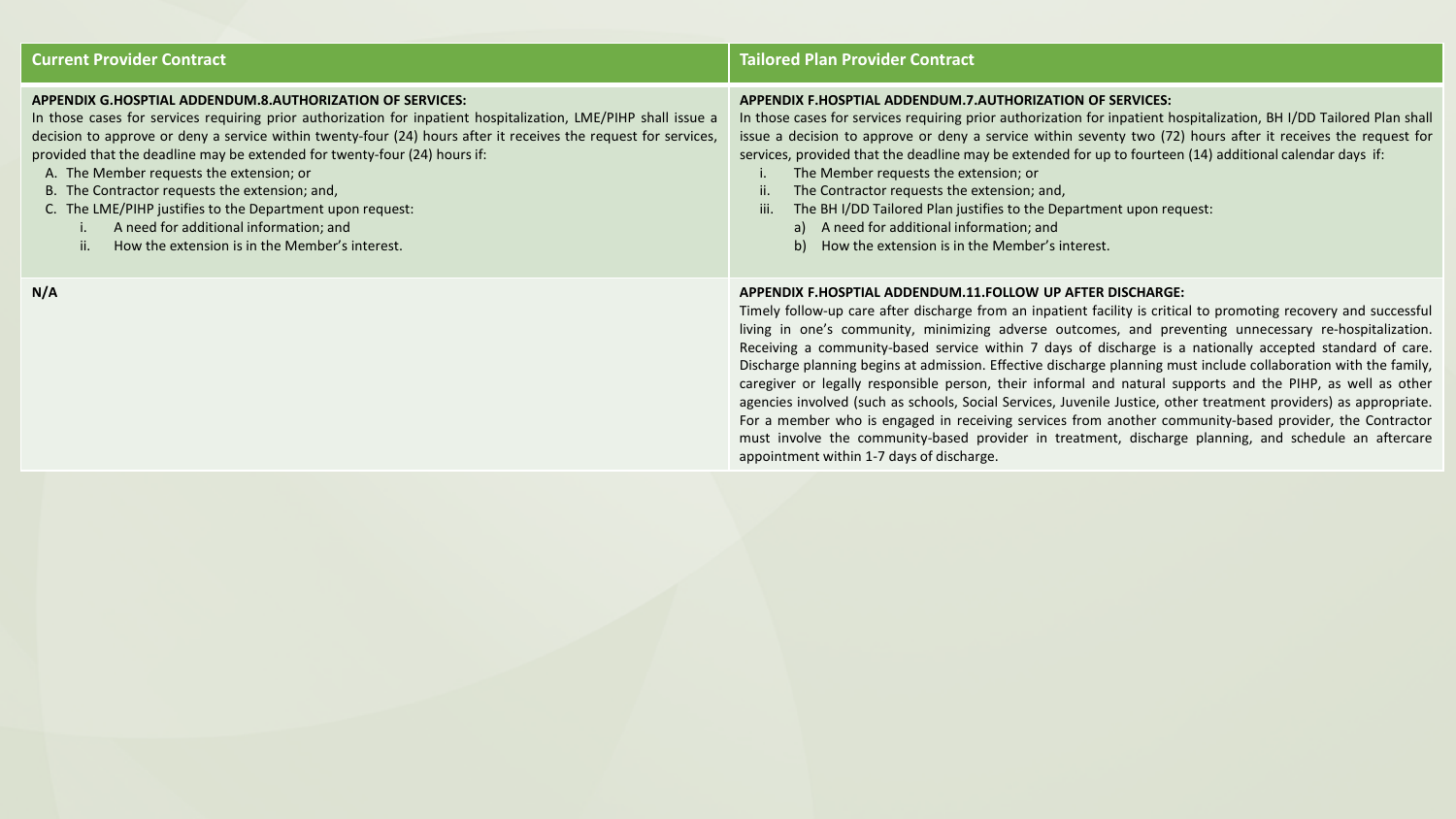| <b>Current Provider Contract</b>                                                                                                                                                                                                                                                                                                                                                                                                                                                                                                                                                                                                    | <b>Tailored Plan Provider Contract</b>                                                                                                                                                                                                                                                                                                                                                                                                                                                                                                                                                                                                                                                                                                                                                                                                                                                                                                                                                                                          |
|-------------------------------------------------------------------------------------------------------------------------------------------------------------------------------------------------------------------------------------------------------------------------------------------------------------------------------------------------------------------------------------------------------------------------------------------------------------------------------------------------------------------------------------------------------------------------------------------------------------------------------------|---------------------------------------------------------------------------------------------------------------------------------------------------------------------------------------------------------------------------------------------------------------------------------------------------------------------------------------------------------------------------------------------------------------------------------------------------------------------------------------------------------------------------------------------------------------------------------------------------------------------------------------------------------------------------------------------------------------------------------------------------------------------------------------------------------------------------------------------------------------------------------------------------------------------------------------------------------------------------------------------------------------------------------|
| APPENDIX G.HOSPTIAL ADDENDUM.8.AUTHORIZATION OF SERVICES:<br>In those cases for services requiring prior authorization for inpatient hospitalization, LME/PIHP shall issue a<br>decision to approve or deny a service within twenty-four (24) hours after it receives the request for services,<br>provided that the deadline may be extended for twenty-four (24) hours if:<br>A. The Member requests the extension; or<br>B. The Contractor requests the extension; and,<br>C. The LME/PIHP justifies to the Department upon request:<br>A need for additional information; and<br>How the extension is in the Member's interest. | APPENDIX F.HOSPTIAL ADDENDUM.7.AUTHORIZATION OF SERVICES:<br>In those cases for services requiring prior authorization for inpatient hospitalization, BH I/DD Tailored Plan shall<br>issue a decision to approve or deny a service within seventy two (72) hours after it receives the request for<br>services, provided that the deadline may be extended for up to fourteen (14) additional calendar days if:<br>The Member requests the extension; or<br>The Contractor requests the extension; and,<br>The BH I/DD Tailored Plan justifies to the Department upon request:<br>iii.<br>a) A need for additional information; and<br>b) How the extension is in the Member's interest.                                                                                                                                                                                                                                                                                                                                        |
| N/A                                                                                                                                                                                                                                                                                                                                                                                                                                                                                                                                                                                                                                 | APPENDIX F.HOSPTIAL ADDENDUM.11.FOLLOW UP AFTER DISCHARGE:<br>Timely follow-up care after discharge from an inpatient facility is critical to promoting recovery and successful<br>living in one's community, minimizing adverse outcomes, and preventing unnecessary re-hospitalization.<br>Receiving a community-based service within 7 days of discharge is a nationally accepted standard of care.<br>Discharge planning begins at admission. Effective discharge planning must include collaboration with the family,<br>caregiver or legally responsible person, their informal and natural supports and the PIHP, as well as other<br>agencies involved (such as schools, Social Services, Juvenile Justice, other treatment providers) as appropriate.<br>For a member who is engaged in receiving services from another community-based provider, the Contractor<br>must involve the community-based provider in treatment, discharge planning, and schedule an aftercare<br>appointment within 1-7 days of discharge. |